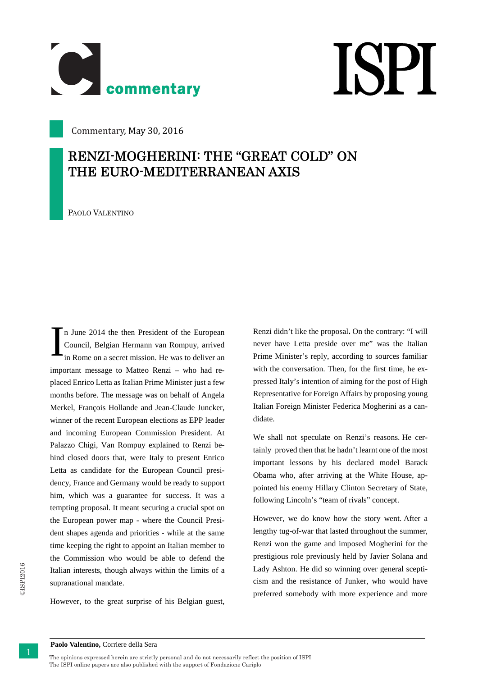

## **ISPI**

Commentary, May 30, 2016

## **RENZI-MOGHERINI: THE "GREAT COLD" ON THE EURO-MEDITERRANEAN AXIS**

PAOLO VALENTINO

n June 2014 the then President of the European Council, Belgian Hermann van Rompuy, arrived in Rome on a secret mission. He was to deliver an important message to Matteo Renzi – who had replaced Enrico Letta as Italian Prime Minister just a few months before. The message was on behalf of Angela Merkel, François Hollande and Jean-Claude Juncker, winner of the recent European elections as EPP leader and incoming European Commission President. At Palazzo Chigi, Van Rompuy explained to Renzi behind closed doors that, were Italy to present Enrico Letta as candidate for the European Council presidency, France and Germany would be ready to support him, which was a guarantee for success. It was a tempting proposal. It meant securing a crucial spot on the European power map - where the Council President shapes agenda and priorities - while at the same time keeping the right to appoint an Italian member to the Commission who would be able to defend the Italian interests, though always within the limits of a supranational mandate. I

However, to the great surprise of his Belgian guest,

Renzi didn't like the proposal**.** On the contrary: "I will never have Letta preside over me" was the Italian Prime Minister's reply, according to sources familiar with the conversation. Then, for the first time, he expressed Italy's intention of aiming for the post of High Representative for Foreign Affairs by proposing young Italian Foreign Minister Federica Mogherini as a candidate.

We shall not speculate on Renzi's reasons. He certainly proved then that he hadn't learnt one of the most important lessons by his declared model Barack Obama who, after arriving at the White House, appointed his enemy Hillary Clinton Secretary of State, following Lincoln's "team of rivals" concept.

However, we do know how the story went. After a lengthy tug-of-war that lasted throughout the summer, Renzi won the game and imposed Mogherini for the prestigious role previously held by Javier Solana and Lady Ashton. He did so winning over general scepticism and the resistance of Junker, who would have preferred somebody with more experience and more

1 The opinions expressed herein are strictly personal and do not necessarily reflect the position of ISPI The ISPI online papers are also published with the support of Fondazione Cariplo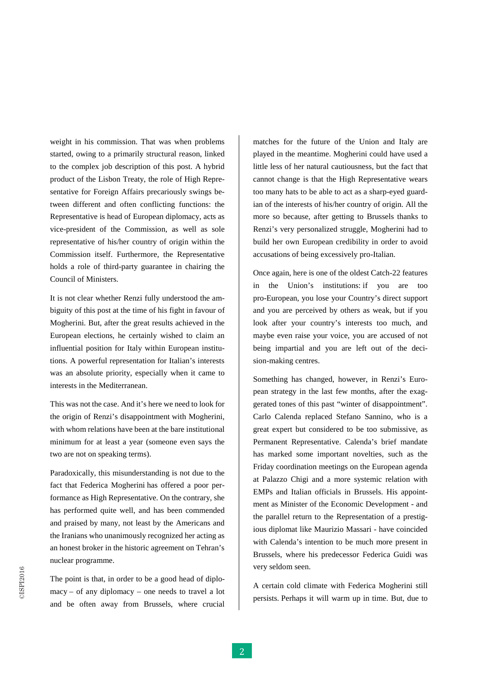weight in this commission. That was when problems and the spectral particles product of the Lakon Treaty, the role of the problems spectral to the commission of this part is proposite to the commission of the problem of t started, owing to a primarily structural reason, linked to the complex job description of this post. A hybrid product of the Lisbon Treaty, the role of High Representative for Foreign Affairs precariously swings between different and often conflicting functions: the Representative is head of European diplomacy, acts as vice-president of the Commission, as well as sole representative of his/her country of origin within the Commission itself. Furthermore, the Representative holds a role of third-party guarantee in chairing the Council of Ministers.

It is not clear whether Renzi fully understood the ambiguity of this post at the time of his fight in favour of Mogherini. But, after the great results achieved in the European elections, he certainly wished to claim an influential position for Italy within European institutions. A powerful representation for Italian's interests was an absolute priority, especially when it came to interests in the Mediterranean.

This was not the case. And it's here we need to look for the origin of Renzi's disappointment with Mogherini, with whom relations have been at the bare institutional minimum for at least a year (someone even says the two are not on speaking terms).

Paradoxically, this misunderstanding is not due to the fact that Federica Mogherini has offered a poor performance as High Representative. On the contrary, she has performed quite well, and has been commended and praised by many, not least by the Americans and the Iranians who unanimously recognized her acting as an honest broker in the historic agreement on Tehran's nuclear programme.

The point is that, in order to be a good head of diplomacy – of any diplomacy – one needs to travel a lot and be often away from Brussels, where crucial

matches for the future of the Union and Italy are played in the meantime. Mogherini could have used a little less of her natural cautiousness, but the fact that cannot change is that the High Representative wears too many hats to be able to act as a sharp-eyed guardian of the interests of his/her country of origin. All the more so because, after getting to Brussels thanks to Renzi's very personalized struggle, Mogherini had to build her own European credibility in order to avoid accusations of being excessively pro-Italian.

Once again, here is one of the oldest Catch-22 features in the Union's institutions: if you are too pro-European, you lose your Country's direct support and you are perceived by others as weak, but if you look after your country's interests too much, and maybe even raise your voice, you are accused of not being impartial and you are left out of the decision-making centres.

Something has changed, however, in Renzi's European strategy in the last few months, after the exaggerated tones of this past "winter of disappointment". Carlo Calenda replaced Stefano Sannino, who is a great expert but considered to be too submissive, as Permanent Representative. Calenda's brief mandate has marked some important novelties, such as the Friday coordination meetings on the European agenda at Palazzo Chigi and a more systemic relation with EMPs and Italian officials in Brussels. His appointment as Minister of the Economic Development - and the parallel return to the Representation of a prestigious diplomat like Maurizio Massari - have coincided with Calenda's intention to be much more present in Brussels, where his predecessor Federica Guidi was very seldom seen.

A certain cold climate with Federica Mogherini still persists. Perhaps it will warm up in time. But, due to